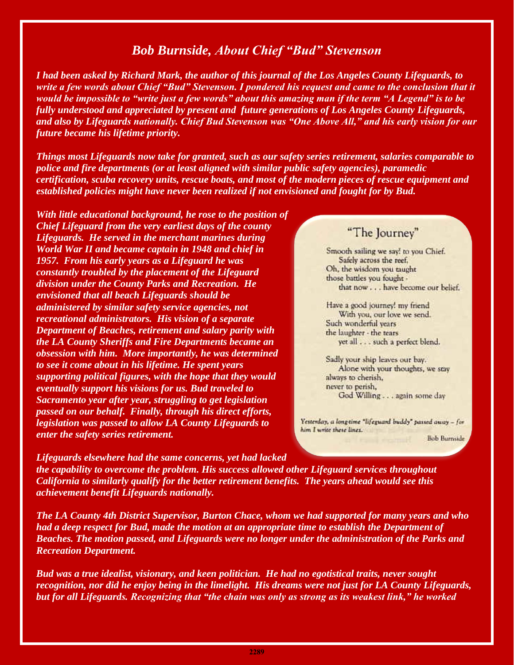## *Bob Burnside, About Chief "Bud" Stevenson*

*I had been asked by Richard Mark, the author of this journal of the Los Angeles County Lifeguards, to*  write a few words about Chief "Bud" Stevenson. I pondered his request and came to the conclusion that it *would be impossible to "write just a few words" about this amazing man if the term "A Legend" is to be fully understood and appreciated by present and future generations of Los Angeles County Lifeguards, and also by Lifeguards nationally. Chief Bud Stevenson was "One Above All," and his early vision for our future became his lifetime priority.* 

*Things most Lifeguards now take for granted, such as our safety series retirement, salaries comparable to police and fire departments (or at least aligned with similar public safety agencies), paramedic certification, scuba recovery units, rescue boats, and most of the modern pieces of rescue equipment and established policies might have never been realized if not envisioned and fought for by Bud.* 

*With little educational background, he rose to the position of Chief Lifeguard from the very earliest days of the county Lifeguards. He served in the merchant marines during World War II and became captain in 1948 and chief in 1957. From his early years as a Lifeguard he was constantly troubled by the placement of the Lifeguard division under the County Parks and Recreation. He envisioned that all beach Lifeguards should be administered by similar safety service agencies, not recreational administrators. His vision of a separate Department of Beaches, retirement and salary parity with the LA County Sheriffs and Fire Departments became an obsession with him. More importantly, he was determined to see it come about in his lifetime. He spent years supporting political figures, with the hope that they would eventually support his visions for us. Bud traveled to Sacramento year after year, struggling to get legislation passed on our behalf. Finally, through his direct efforts, legislation was passed to allow LA County Lifeguards to enter the safety series retirement.* 

*Lifeguards elsewhere had the same concerns, yet had lacked* 

## "The Journey"

Smooth sailing we say! to you Chief. Safely across the reef. Oh, the wisdom you taught those battles you fought that now . . . have become our belief.

Have a good journey! my friend With you, our love we send. Such wonderful years the laughter - the tears yet all . . . such a perfect blend.

Sadly your ship leaves our bay. Alone with your thoughts, we stay always to cherish. never to perish, God Willing . . . again some day

Yesterday, a long-time "lifeguard buddy" passed away - for him I write these lines.

**Bob Burnside** 

*the capability to overcome the problem. His success allowed other Lifeguard services throughout California to similarly qualify for the better retirement benefits. The years ahead would see this achievement benefit Lifeguards nationally.* 

*The LA County 4th District Supervisor, Burton Chace, whom we had supported for many years and who had a deep respect for Bud, made the motion at an appropriate time to establish the Department of Beaches. The motion passed, and Lifeguards were no longer under the administration of the Parks and Recreation Department.* 

*Bud was a true idealist, visionary, and keen politician. He had no egotistical traits, never sought recognition, nor did he enjoy being in the limelight. His dreams were not just for LA County Lifeguards, but for all Lifeguards. Recognizing that "the chain was only as strong as its weakest link," he worked*